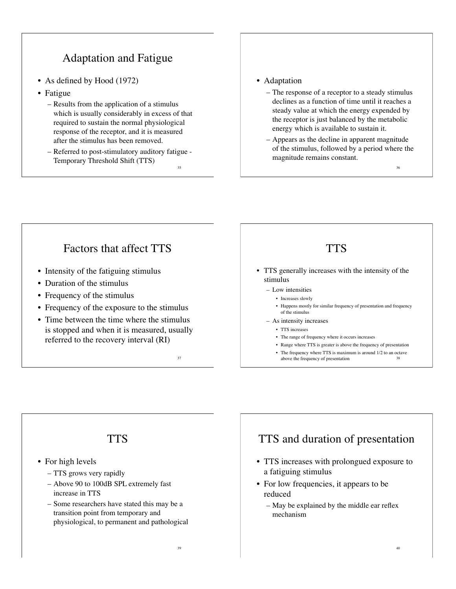# Adaptation and Fatigue

- As defined by Hood (1972)
- Fatigue
	- Results from the application of a stimulus which is usually considerably in excess of that required to sustain the normal physiological response of the receptor, and it is measured after the stimulus has been removed.
	- Referred to post-stimulatory auditory fatigue Temporary Threshold Shift (TTS) 35

#### • Adaptation

- The response of a receptor to a steady stimulus declines as a function of time until it reaches a steady value at which the energy expended by the receptor is just balanced by the metabolic energy which is available to sustain it.
- Appears as the decline in apparent magnitude of the stimulus, followed by a period where the magnitude remains constant.

36

#### Factors that affect TTS • Intensity of the fatiguing stimulus • Duration of the stimulus • Frequency of the stimulus • Frequency of the exposure to the stimulus • Time between the time where the stimulus is stopped and when it is measured, usually referred to the recovery interval (RI) 37 **TTS** • TTS generally increases with the intensity of the stimulus – Low intensities • Increases slowly • Happens mostly for similar frequency of presentation and frequency of the stimulus – As intensity increases • TTS increases • The range of frequency where it occurs increases • Range where TTS is greater is above the frequency of presentation • The frequency where TTS is maximum is around 1/2 to an octave above the frequency of presentation



## TTS and duration of presentation

- TTS increases with prolongued exposure to a fatiguing stimulus
- For low frequencies, it appears to be reduced
	- May be explained by the middle ear reflex mechanism